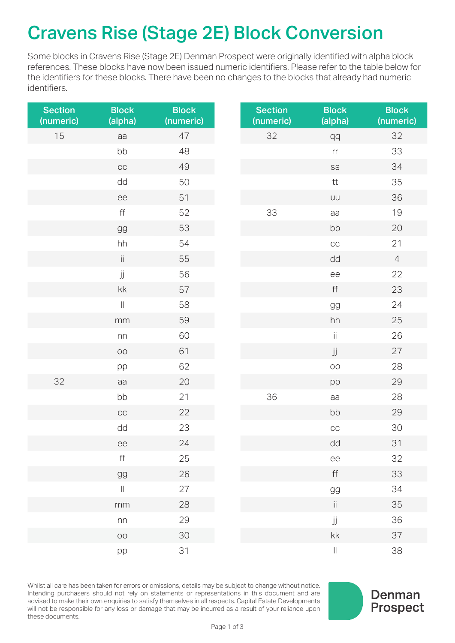## Cravens Rise (Stage 2E) Block Conversion

Some blocks in Cravens Rise (Stage 2E) Denman Prospect were originally identified with alpha block references. These blocks have now been issued numeric identifiers. Please refer to the table below for the identifiers for these blocks. There have been no changes to the blocks that already had numeric identifiers.

| <b>Section</b><br>(numeric) | <b>Block</b><br>(alpha) | <b>Block</b><br>(numeric) | <b>Section</b><br>(numeric) | <b>Block</b><br>(alpha) | <b>Block</b><br>(numeric) |
|-----------------------------|-------------------------|---------------------------|-----------------------------|-------------------------|---------------------------|
| 15                          | aa                      | 47                        | 32                          | qq                      | 32                        |
|                             | bb                      | 48                        |                             | $\mathop{\text{rr}}$    | 33                        |
|                             | CC                      | 49                        |                             | SS                      | 34                        |
|                             | dd                      | 50                        |                             | $\sf{t}\sf{t}$          | 35                        |
|                             | ee                      | $51$                      |                             | uu                      | 36                        |
|                             | $\mathsf{ff}$           | 52                        | 33                          | aa                      | 19                        |
|                             | gg                      | 53                        |                             | bb                      | 20                        |
|                             | hh                      | 54                        |                             | $_{\rm CC}$             | 21                        |
|                             | ii.                     | 55                        |                             | dd                      | $\overline{4}$            |
|                             | jj                      | 56                        |                             | ee                      | 22                        |
|                             | $\mathsf{k}\mathsf{k}$  | 57                        |                             | $\mathsf{ff}$           | 23                        |
|                             | $\vert\vert$            | 58                        |                             | $\mbox{g}\mbox{g}$      | 24                        |
|                             | mm                      | 59                        |                             | hh                      | 25                        |
|                             | nn                      | 60                        |                             | $\ddot{\text{II}}$      | 26                        |
|                             | $\circlearrowright$     | 61                        |                             | jj                      | 27                        |
|                             | pp                      | 62                        |                             | OO                      | 28                        |
| 32                          | aa                      | 20                        |                             | pp                      | 29                        |
|                             | bb                      | 21                        | 36                          | aa                      | 28                        |
|                             | CC                      | 22                        |                             | bb                      | 29                        |
|                             | dd                      | 23                        |                             | CC                      | $30\,$                    |
|                             | ee                      | 24                        |                             | dd                      | 31                        |
|                             | $\mathsf{ff}$           | 25                        |                             | ee                      | 32                        |
|                             | gg                      | 26                        |                             | $\mathsf{ff}$           | 33                        |
|                             | $\parallel$             | 27                        |                             | gg                      | 34                        |
|                             | mm                      | $28\,$                    |                             | $\,$ ii                 | 35                        |
|                             | ${\sf nn}$              | 29                        |                             | jj                      | 36                        |
|                             | $\circ$                 | $30\,$                    |                             | kk                      | 37                        |
|                             | pp                      | 31                        |                             | $\, \parallel$          | 38                        |

Whilst all care has been taken for errors or omissions, details may be subject to change without notice. Intending purchasers should not rely on statements or representations in this document and are advised to make their own enquiries to satisfy themselves in all respects. Capital Estate Developments will not be responsible for any loss or damage that may be incurred as a result of your reliance upon these documents.

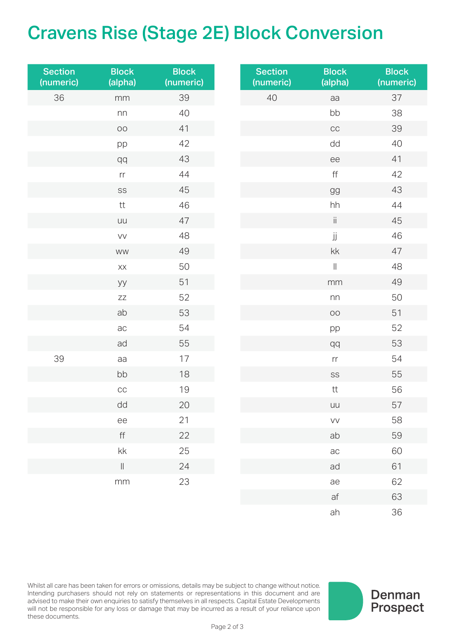## Cravens Rise (Stage 2E) Block Conversion

| <b>Section</b><br>(numeric) | <b>Block</b><br>(alpha)      | <b>Block</b><br>(numeric) | <b>Section</b><br>(numeric) | <b>Block</b><br>(alpha) | <b>Block</b><br>(numeric) |
|-----------------------------|------------------------------|---------------------------|-----------------------------|-------------------------|---------------------------|
| 36                          | mm                           | 39                        | 40                          | aa                      | 37                        |
|                             | nn                           | 40                        |                             | bb                      | 38                        |
|                             | $\circlearrowright$          | 41                        |                             | $_{\rm CC}$             | 39                        |
|                             | pp                           | 42                        |                             | dd                      | 40                        |
|                             | qq                           | 43                        |                             | ee                      | 41                        |
|                             | $\mathop{\text{rr}}$         | 44                        |                             | $\mathsf{ff}$           | 42                        |
|                             | SS                           | 45                        |                             | gg                      | 43                        |
|                             | $\sf{t}\sf{t}$               | 46                        |                             | $\hbox{h} \hbox{h}$     | 44                        |
|                             | uu                           | 47                        |                             | $\mathrm{ii}$           | 45                        |
|                             | VV                           | 48                        |                             | jj                      | 46                        |
|                             | <b>WW</b>                    | 49                        |                             | kk                      | 47                        |
|                             | XX                           | 50                        |                             | $\vert\vert$            | 48                        |
|                             | уу                           | 51                        |                             | $\rm mm$                | 49                        |
|                             | $Z\bar{Z}$                   | 52                        |                             | ${\sf nn}$              | 50                        |
|                             | ab                           | 53                        |                             | $_{\rm OO}$             | 51                        |
|                             | ac                           | 54                        |                             | pp                      | 52                        |
|                             | ad                           | 55                        |                             | qq                      | 53                        |
| 39                          | aa                           | 17                        |                             | $\mathop{\text{rr}}$    | 54                        |
|                             | bb                           | 18                        |                             | SS                      | 55                        |
|                             | CC                           | 19                        |                             | $\sf{t}\sf{t}$          | 56                        |
|                             | $\operatorname{\mathsf{dd}}$ | 20                        |                             | uu                      | 57                        |
|                             | $\rm ee$                     | 21                        |                             | VV                      | 58                        |
|                             | $\mathsf{ff}$                | 22                        |                             | ab                      | 59                        |
|                             | $\mathsf{k}\mathsf{k}$       | 25                        |                             | $\mbox{ac}$             | 60                        |
|                             | $\ $                         | 24                        |                             | ad                      | 61                        |
|                             | mm                           | 23                        |                             | ae                      | 62                        |
|                             |                              |                           |                             | $\operatorname{\sf af}$ | 63                        |

Whilst all care has been taken for errors or omissions, details may be subject to change without notice. Intending purchasers should not rely on statements or representations in this document and are advised to make their own enquiries to satisfy themselves in all respects. Capital Estate Developments will not be responsible for any loss or damage that may be incurred as a result of your reliance upon these documents.



ah 36